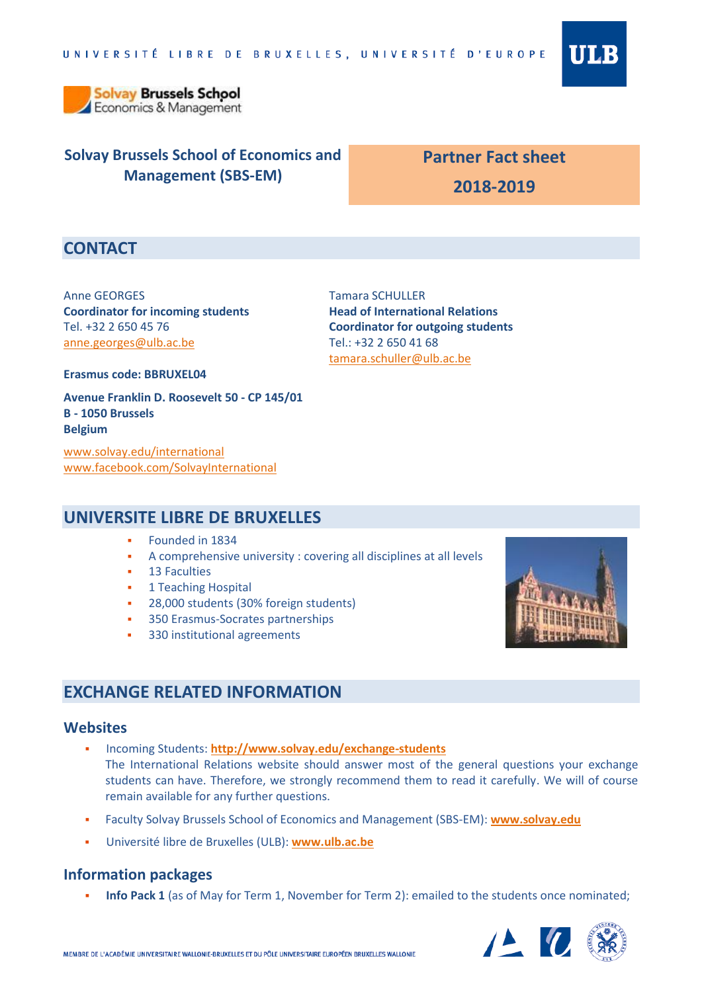

**Solvay Brussels School** Economics & Management

# **Solvay Brussels School of Economics and Management (SBS-EM)**

# **Partner Fact sheet 2018-2019**

# **CONTACT**

Anne GEORGES **Coordinator for incoming students** Tel. +32 2 650 45 76 [anne.georges@ulb.ac.be](mailto:anne.georges@ulb.ac.be)

Tamara SCHULLER **Head of International Relations Coordinator for outgoing students** Tel.: +32 2 650 41 68 [tamara.schuller@ulb.ac.be](mailto:tamara.schuller@ulb.ac.be)

**Erasmus code: BBRUXEL04**

**Avenue Franklin D. Roosevelt 50 - CP 145/01 B - 1050 Brussels Belgium**

[www.solvay.edu/international](http://www.solvay.edu/international) [www.facebook.com/SolvayInternational](http://www.facebook.com/SolvayInternational)

### **UNIVERSITE LIBRE DE BRUXELLES**

- Founded in 1834
- A comprehensive university : covering all disciplines at all levels
- 13 Faculties
- 1 Teaching Hospital
- 28,000 students (30% foreign students)
- 350 Erasmus-Socrates partnerships
- 330 institutional agreements

# **EXCHANGE RELATED INFORMATION**

#### **Websites**

- Incoming Students: **<http://www.solvay.edu/exchange-students>** The International Relations website should answer most of the general questions your exchange students can have. Therefore, we strongly recommend them to read it carefully. We will of course remain available for any further questions.
- Faculty Solvay Brussels School of Economics and Management (SBS-EM): **[www.solvay.edu](http://www.solvay.edu/)**
- Université libre de Bruxelles (ULB): **[www.ulb.ac.be](http://www.ulb.ac.be/)**

#### **Information packages**

**Info Pack 1** (as of May for Term 1, November for Term 2): emailed to the students once nominated;



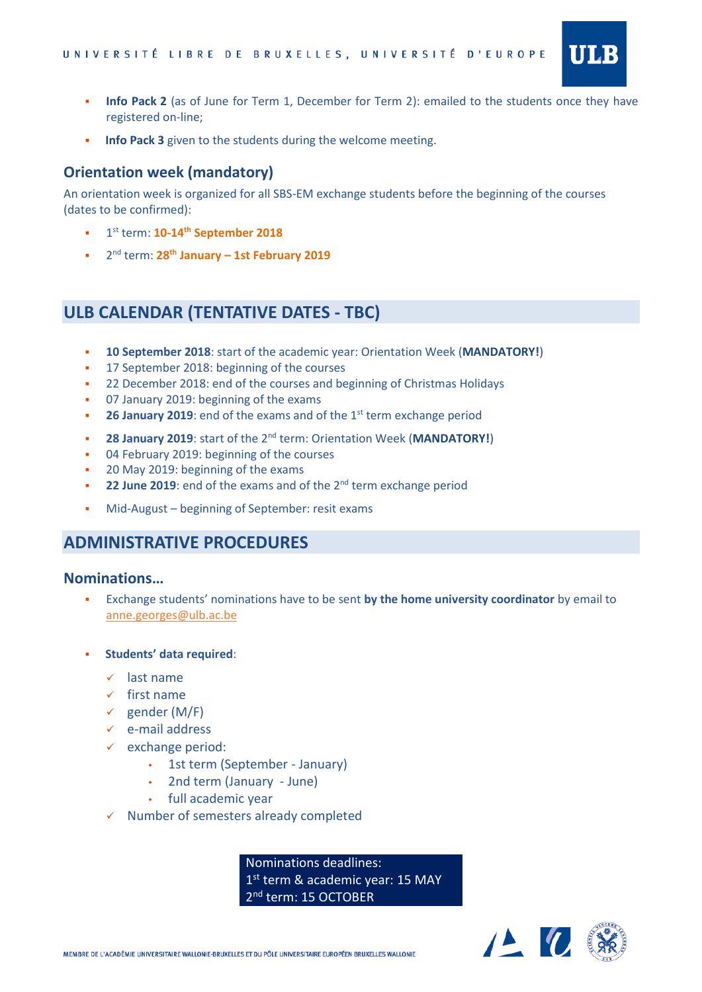

- **Info Pack 2** (as of June for Term 1, December for Term 2): emailed to the students once they have registered on-line;
- **Info Pack 3** given to the students during the welcome meeting.

#### **Orientation week (mandatory)**

An orientation week is organized for all SBS-EM exchange students before the beginning of the courses (dates to be confirmed):

- **1 1**<sup>st</sup> term: **10-14<sup>th</sup> September 2018**
- 2 nd term: **28 th January – 1st February 2019**

### **ULB CALENDAR (TENTATIVE DATES - TBC)**

- **10 September 2018**: start of the academic year: Orientation Week (**MANDATORY!**)
- <sup>1</sup> 17 September 2018: beginning of the courses
- <sup>2</sup> 22 December 2018: end of the courses and beginning of Christmas Holidays
- 07 January 2019: beginning of the exams
- **26 January 2019**: end of the exams and of the 1<sup>st</sup> term exchange period
- **28 January 2019**: start of the 2<sup>nd</sup> term: Orientation Week (MANDATORY!)
- **04 February 2019: beginning of the courses**
- 20 May 2019: beginning of the exams
- **22 June 2019**: end of the exams and of the 2<sup>nd</sup> term exchange period
- Mid-August beginning of September: resit exams

### **ADMINISTRATIVE PROCEDURES**

#### **Nominations…**

- Exchange students' nominations have to be sent **by the home university coordinator** by email to [anne.georges@ulb.ac.be](mailto:anne.georges@ulb.ac.be)
- **Students' data required**:
	- $\checkmark$  last name
	- $\checkmark$  first name
	- $\checkmark$  gender (M/F)
	- $\checkmark$  e-mail address
	- $\checkmark$  exchange period:
		- 1st term (September January)
		- 2nd term (January June)
		- full academic year
	- $\checkmark$  Number of semesters already completed

Nominations deadlines: 1st term & academic year: 15 MAY 2<sup>nd</sup> term: 15 OCTOBER

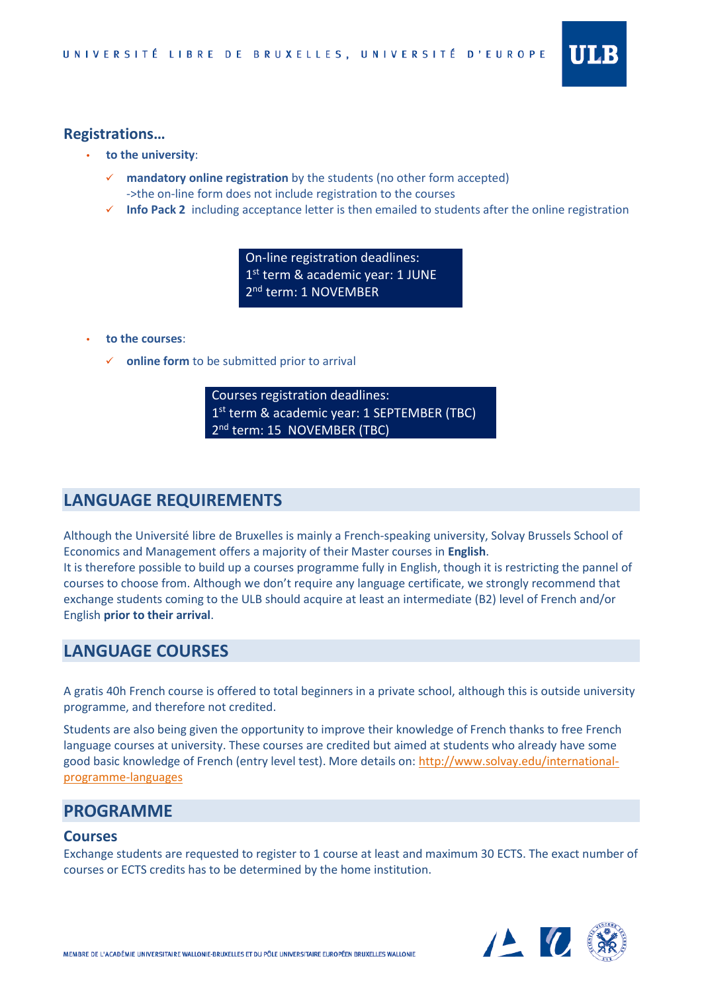

- **to the university**:
	- **mandatory online registration** by the students (no other form accepted) ->the on-line form does not include registration to the courses
	- **Info Pack 2** including acceptance letter is then emailed to students after the online registration

On-line registration deadlines: 1<sup>st</sup> term & academic year: 1 JUNE 2<sup>nd</sup> term: 1 NOVEMBER

- **to the courses**:
	- **online form** to be submitted prior to arrival

Courses registration deadlines: 1<sup>st</sup> term & academic year: 1 SEPTEMBER (TBC) 2<sup>nd</sup> term: 15 NOVEMBER (TBC)

# **LANGUAGE REQUIREMENTS**

Although the Université libre de Bruxelles is mainly a French-speaking university, Solvay Brussels School of Economics and Management offers a majority of their Master courses in **English**.

It is therefore possible to build up a courses programme fully in English, though it is restricting the pannel of courses to choose from. Although we don't require any language certificate, we strongly recommend that exchange students coming to the ULB should acquire at least an intermediate (B2) level of French and/or English **prior to their arrival**.

### **LANGUAGE COURSES**

A gratis 40h French course is offered to total beginners in a private school, although this is outside university programme, and therefore not credited.

Students are also being given the opportunity to improve their knowledge of French thanks to free French language courses at university. These courses are credited but aimed at students who already have some good basic knowledge of French (entry level test). More details on: [http://www.solvay.edu/international](http://www.solvay.edu/international-programme-languages)[programme-languages](http://www.solvay.edu/international-programme-languages)

### **PROGRAMME**

#### **Courses**

Exchange students are requested to register to 1 course at least and maximum 30 ECTS. The exact number of courses or ECTS credits has to be determined by the home institution.

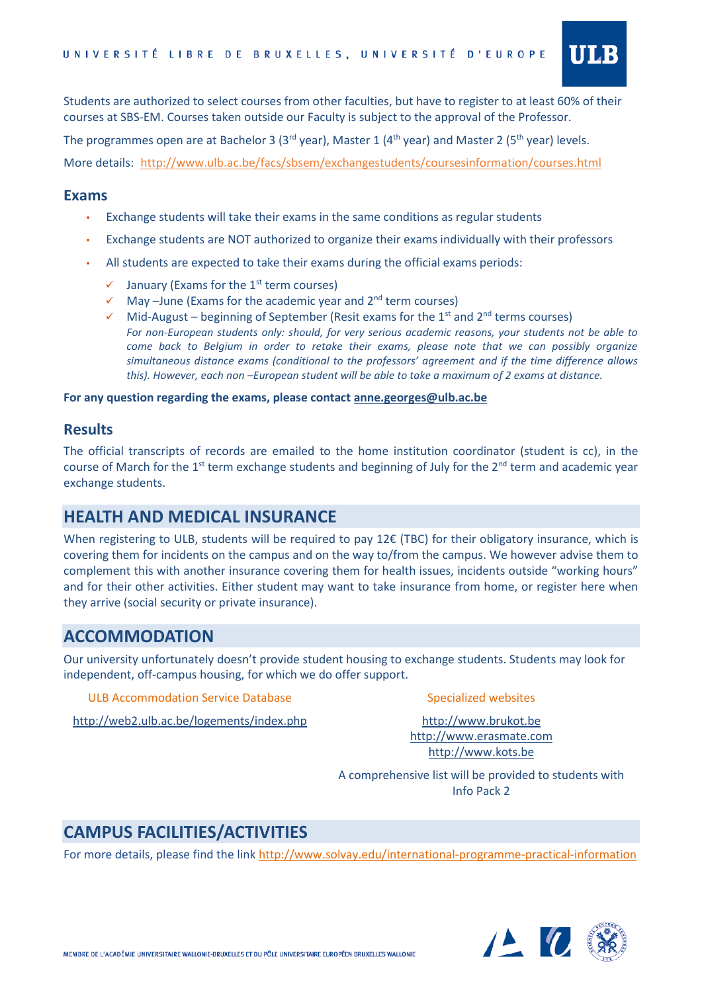

Students are authorized to select courses from other faculties, but have to register to at least 60% of their courses at SBS-EM. Courses taken outside our Faculty is subject to the approval of the Professor.

The programmes open are at Bachelor 3 (3<sup>rd</sup> year), Master 1 (4<sup>th</sup> year) and Master 2 (5<sup>th</sup> year) levels.

More details: <http://www.ulb.ac.be/facs/sbsem/exchangestudents/coursesinformation/courses.html>

#### **Exams**

- Exchange students will take their exams in the same conditions as regular students
- Exchange students are NOT authorized to organize their exams individually with their professors
- All students are expected to take their exams during the official exams periods:
	- $\checkmark$  January (Exams for the 1<sup>st</sup> term courses)
	- $\checkmark$  May –June (Exams for the academic year and 2<sup>nd</sup> term courses)
	- $\checkmark$  Mid-August beginning of September (Resit exams for the 1<sup>st</sup> and 2<sup>nd</sup> terms courses) *For non-European students only: should, for very serious academic reasons, your students not be able to come back to Belgium in order to retake their exams, please note that we can possibly organize simultaneous distance exams (conditional to the professors' agreement and if the time difference allows this). However, each non –European student will be able to take a maximum of 2 exams at distance.*

**For any question regarding the exams, please contact [anne.georges@ulb.ac.be](mailto:anne.georges@ulb.ac.be)**

#### **Results**

The official transcripts of records are emailed to the home institution coordinator (student is cc), in the course of March for the 1<sup>st</sup> term exchange students and beginning of July for the 2<sup>nd</sup> term and academic year exchange students.

### **HEALTH AND MEDICAL INSURANCE**

When registering to ULB, students will be required to pay 12€ (TBC) for their obligatory insurance, which is covering them for incidents on the campus and on the way to/from the campus. We however advise them to complement this with another insurance covering them for health issues, incidents outside "working hours" and for their other activities. Either student may want to take insurance from home, or register here when they arrive (social security or private insurance).

### **ACCOMMODATION**

Our university unfortunately doesn't provide student housing to exchange students. Students may look for independent, off-campus housing, for which we do offer support.

ULB Accommodation Service Database

#### Specialized websites

<http://web2.ulb.ac.be/logements/index.php>

http:/[/www.brukot.be](http://www.brukot.be/) [http://www.erasmate.com](http://www.erasmate.com/) [http://www.kots.be](http://www.kots.be/)

A comprehensive list will be provided to students with Info Pack 2

# **CAMPUS FACILITIES/ACTIVITIES**

For more details, please find the link <http://www.solvay.edu/international-programme-practical-information>